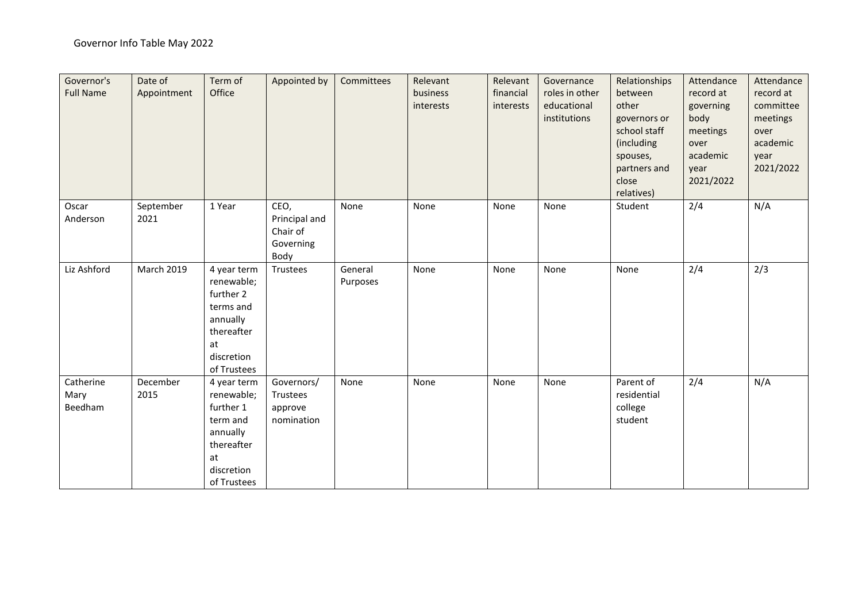| Governor's<br><b>Full Name</b> | Date of<br>Appointment | Term of<br>Office                                                                                                | Appointed by                                           | Committees          | Relevant<br>business<br>interests | Relevant<br>financial<br>interests | Governance<br>roles in other<br>educational<br>institutions | Relationships<br>between<br>other<br>governors or<br>school staff<br>(including<br>spouses,<br>partners and<br>close<br>relatives) | Attendance<br>record at<br>governing<br>body<br>meetings<br>over<br>academic<br>year<br>2021/2022 | Attendance<br>record at<br>committee<br>meetings<br>over<br>academic<br>year<br>2021/2022 |
|--------------------------------|------------------------|------------------------------------------------------------------------------------------------------------------|--------------------------------------------------------|---------------------|-----------------------------------|------------------------------------|-------------------------------------------------------------|------------------------------------------------------------------------------------------------------------------------------------|---------------------------------------------------------------------------------------------------|-------------------------------------------------------------------------------------------|
| Oscar<br>Anderson              | September<br>2021      | 1 Year                                                                                                           | CEO,<br>Principal and<br>Chair of<br>Governing<br>Body | None                | None                              | None                               | None                                                        | Student                                                                                                                            | 2/4                                                                                               | N/A                                                                                       |
| Liz Ashford                    | <b>March 2019</b>      | 4 year term<br>renewable;<br>further 2<br>terms and<br>annually<br>thereafter<br>at<br>discretion<br>of Trustees | Trustees                                               | General<br>Purposes | None                              | None                               | None                                                        | None                                                                                                                               | 2/4                                                                                               | 2/3                                                                                       |
| Catherine<br>Mary<br>Beedham   | December<br>2015       | 4 year term<br>renewable;<br>further 1<br>term and<br>annually<br>thereafter<br>at<br>discretion<br>of Trustees  | Governors/<br>Trustees<br>approve<br>nomination        | None                | None                              | None                               | None                                                        | Parent of<br>residential<br>college<br>student                                                                                     | 2/4                                                                                               | N/A                                                                                       |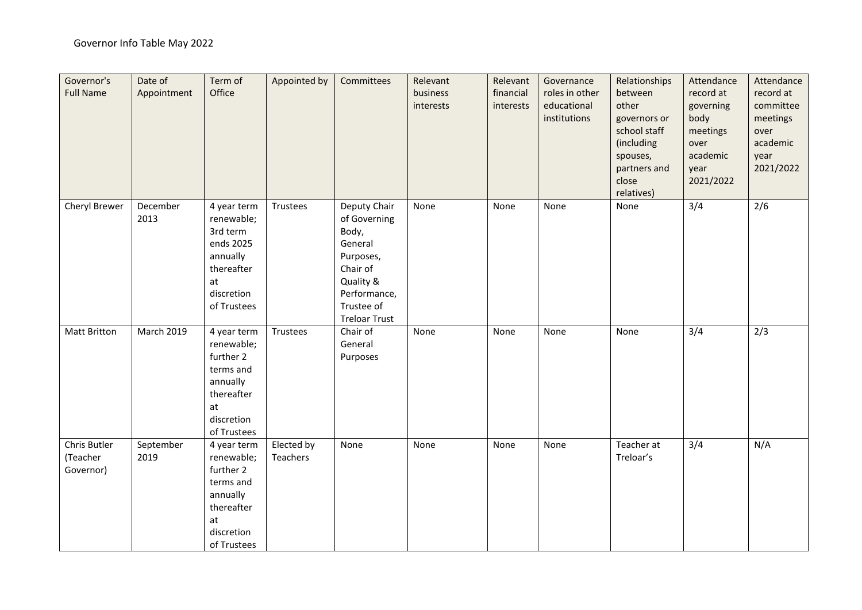| Governor's<br><b>Full Name</b>        | Date of<br>Appointment | Term of<br>Office                                                                                                | Appointed by           | Committees                                                                                                                                   | Relevant<br>business<br>interests | Relevant<br>financial<br>interests | Governance<br>roles in other<br>educational<br>institutions | Relationships<br>between<br>other<br>governors or<br>school staff<br>(including<br>spouses,<br>partners and<br>close<br>relatives) | Attendance<br>record at<br>governing<br>body<br>meetings<br>over<br>academic<br>year<br>2021/2022 | Attendance<br>record at<br>committee<br>meetings<br>over<br>academic<br>year<br>2021/2022 |
|---------------------------------------|------------------------|------------------------------------------------------------------------------------------------------------------|------------------------|----------------------------------------------------------------------------------------------------------------------------------------------|-----------------------------------|------------------------------------|-------------------------------------------------------------|------------------------------------------------------------------------------------------------------------------------------------|---------------------------------------------------------------------------------------------------|-------------------------------------------------------------------------------------------|
| Cheryl Brewer                         | December<br>2013       | 4 year term<br>renewable;<br>3rd term<br>ends 2025<br>annually<br>thereafter<br>at<br>discretion<br>of Trustees  | Trustees               | Deputy Chair<br>of Governing<br>Body,<br>General<br>Purposes,<br>Chair of<br>Quality &<br>Performance,<br>Trustee of<br><b>Treloar Trust</b> | None                              | None                               | None                                                        | None                                                                                                                               | 3/4                                                                                               | 2/6                                                                                       |
| <b>Matt Britton</b>                   | <b>March 2019</b>      | 4 year term<br>renewable;<br>further 2<br>terms and<br>annually<br>thereafter<br>at<br>discretion<br>of Trustees | Trustees               | Chair of<br>General<br>Purposes                                                                                                              | None                              | None                               | None                                                        | None                                                                                                                               | 3/4                                                                                               | 2/3                                                                                       |
| Chris Butler<br>(Teacher<br>Governor) | September<br>2019      | 4 year term<br>renewable;<br>further 2<br>terms and<br>annually<br>thereafter<br>at<br>discretion<br>of Trustees | Elected by<br>Teachers | None                                                                                                                                         | None                              | None                               | None                                                        | Teacher at<br>Treloar's                                                                                                            | 3/4                                                                                               | N/A                                                                                       |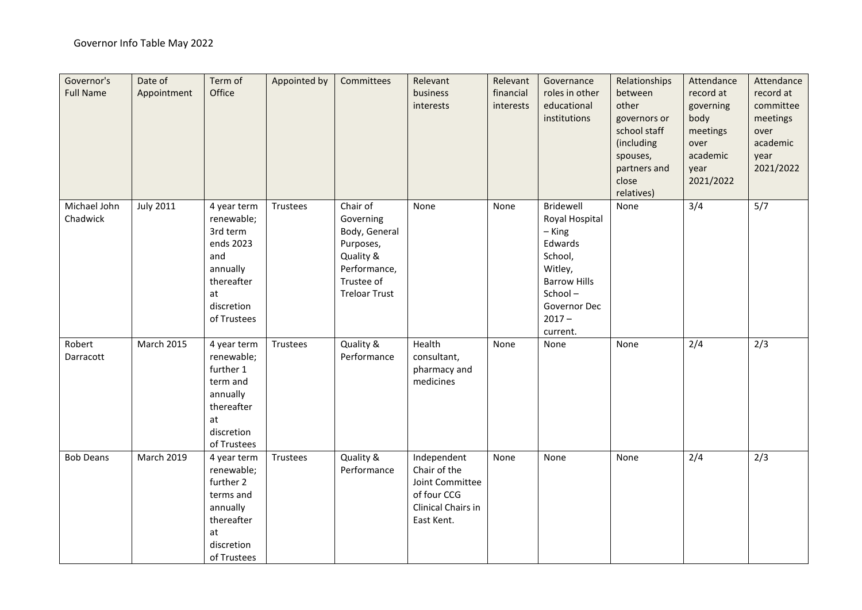| Governor's<br><b>Full Name</b> | Date of<br>Appointment | Term of<br>Office                                                                                                      | Appointed by | Committees                                                                                                             | Relevant<br>business<br>interests                                                                 | Relevant<br>financial<br>interests | Governance<br>roles in other<br>educational<br>institutions                                                                                        | Relationships<br>between<br>other<br>governors or<br>school staff<br>(including<br>spouses,<br>partners and<br>close<br>relatives) | Attendance<br>record at<br>governing<br>body<br>meetings<br>over<br>academic<br>year<br>2021/2022 | Attendance<br>record at<br>committee<br>meetings<br>over<br>academic<br>year<br>2021/2022 |
|--------------------------------|------------------------|------------------------------------------------------------------------------------------------------------------------|--------------|------------------------------------------------------------------------------------------------------------------------|---------------------------------------------------------------------------------------------------|------------------------------------|----------------------------------------------------------------------------------------------------------------------------------------------------|------------------------------------------------------------------------------------------------------------------------------------|---------------------------------------------------------------------------------------------------|-------------------------------------------------------------------------------------------|
| Michael John<br>Chadwick       | <b>July 2011</b>       | 4 year term<br>renewable;<br>3rd term<br>ends 2023<br>and<br>annually<br>thereafter<br>at<br>discretion<br>of Trustees | Trustees     | Chair of<br>Governing<br>Body, General<br>Purposes,<br>Quality &<br>Performance,<br>Trustee of<br><b>Treloar Trust</b> | None                                                                                              | None                               | Bridewell<br>Royal Hospital<br>$-$ King<br>Edwards<br>School,<br>Witley,<br><b>Barrow Hills</b><br>School-<br>Governor Dec<br>$2017 -$<br>current. | None                                                                                                                               | 3/4                                                                                               | 5/7                                                                                       |
| Robert<br>Darracott            | <b>March 2015</b>      | 4 year term<br>renewable;<br>further 1<br>term and<br>annually<br>thereafter<br>at<br>discretion<br>of Trustees        | Trustees     | Quality &<br>Performance                                                                                               | Health<br>consultant,<br>pharmacy and<br>medicines                                                | None                               | None                                                                                                                                               | None                                                                                                                               | 2/4                                                                                               | 2/3                                                                                       |
| <b>Bob Deans</b>               | March 2019             | 4 year term<br>renewable;<br>further 2<br>terms and<br>annually<br>thereafter<br>at<br>discretion<br>of Trustees       | Trustees     | Quality &<br>Performance                                                                                               | Independent<br>Chair of the<br>Joint Committee<br>of four CCG<br>Clinical Chairs in<br>East Kent. | None                               | None                                                                                                                                               | None                                                                                                                               | 2/4                                                                                               | 2/3                                                                                       |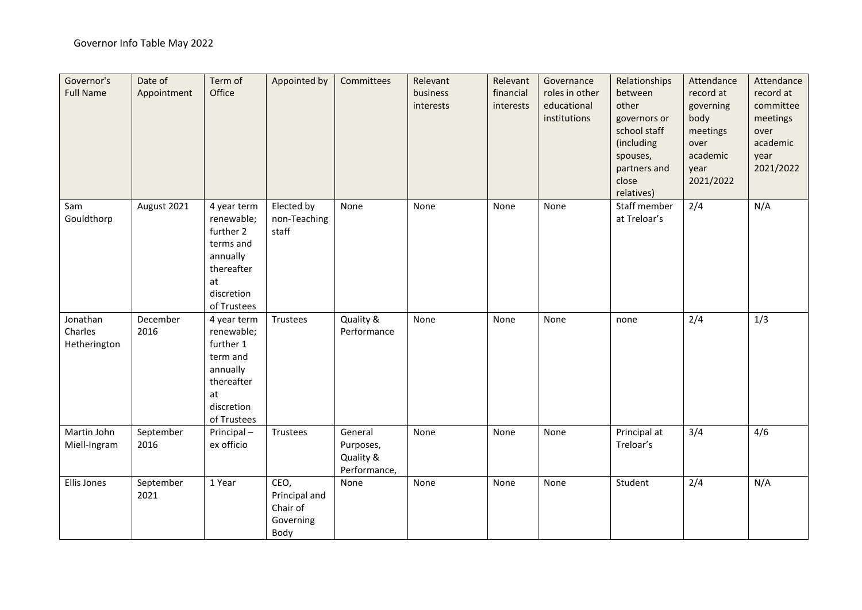| Governor's<br><b>Full Name</b>      | Date of<br>Appointment | Term of<br>Office                                                                                                | Appointed by                                           | Committees                                        | Relevant<br>business<br>interests | Relevant<br>financial<br>interests | Governance<br>roles in other<br>educational<br>institutions | Relationships<br>between<br>other<br>governors or<br>school staff<br>(including<br>spouses,<br>partners and<br>close<br>relatives) | Attendance<br>record at<br>governing<br>body<br>meetings<br>over<br>academic<br>year<br>2021/2022 | Attendance<br>record at<br>committee<br>meetings<br>over<br>academic<br>year<br>2021/2022 |
|-------------------------------------|------------------------|------------------------------------------------------------------------------------------------------------------|--------------------------------------------------------|---------------------------------------------------|-----------------------------------|------------------------------------|-------------------------------------------------------------|------------------------------------------------------------------------------------------------------------------------------------|---------------------------------------------------------------------------------------------------|-------------------------------------------------------------------------------------------|
| Sam<br>Gouldthorp                   | August 2021            | 4 year term<br>renewable;<br>further 2<br>terms and<br>annually<br>thereafter<br>at<br>discretion<br>of Trustees | Elected by<br>non-Teaching<br>staff                    | None                                              | None                              | None                               | None                                                        | Staff member<br>at Treloar's                                                                                                       | 2/4                                                                                               | N/A                                                                                       |
| Jonathan<br>Charles<br>Hetherington | December<br>2016       | 4 year term<br>renewable;<br>further 1<br>term and<br>annually<br>thereafter<br>at<br>discretion<br>of Trustees  | Trustees                                               | Quality &<br>Performance                          | None                              | None                               | None                                                        | none                                                                                                                               | 2/4                                                                                               | 1/3                                                                                       |
| Martin John<br>Miell-Ingram         | September<br>2016      | Principal-<br>ex officio                                                                                         | Trustees                                               | General<br>Purposes,<br>Quality &<br>Performance, | None                              | None                               | None                                                        | Principal at<br>Treloar's                                                                                                          | 3/4                                                                                               | 4/6                                                                                       |
| Ellis Jones                         | September<br>2021      | 1 Year                                                                                                           | CEO,<br>Principal and<br>Chair of<br>Governing<br>Body | None                                              | None                              | None                               | None                                                        | Student                                                                                                                            | 2/4                                                                                               | N/A                                                                                       |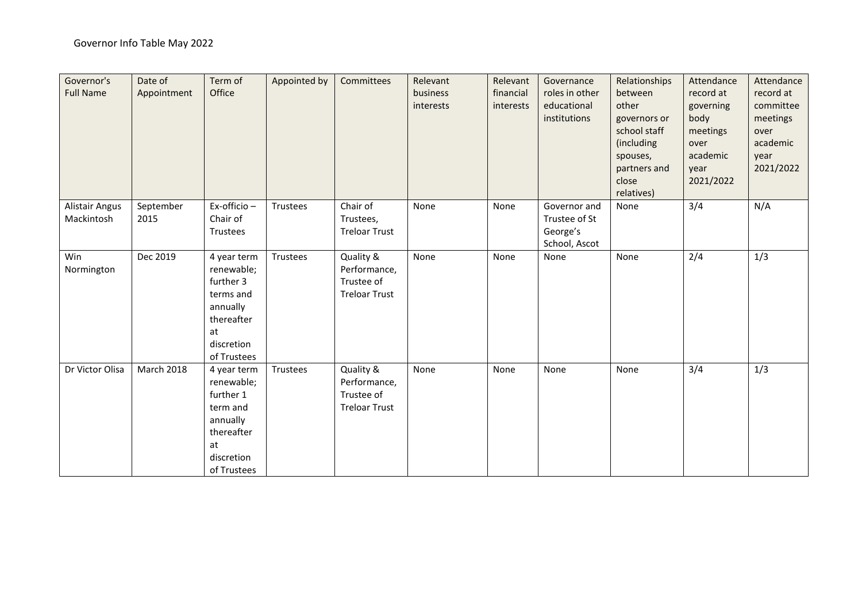| Governor's<br><b>Full Name</b>      | Date of<br>Appointment | Term of<br>Office                                                                                                | Appointed by | Committees                                                      | Relevant<br>business<br>interests | Relevant<br>financial<br>interests | Governance<br>roles in other<br>educational<br>institutions | Relationships<br>between<br>other<br>governors or<br>school staff<br>(including<br>spouses,<br>partners and<br>close<br>relatives) | Attendance<br>record at<br>governing<br>body<br>meetings<br>over<br>academic<br>year<br>2021/2022 | Attendance<br>record at<br>committee<br>meetings<br>over<br>academic<br>year<br>2021/2022 |
|-------------------------------------|------------------------|------------------------------------------------------------------------------------------------------------------|--------------|-----------------------------------------------------------------|-----------------------------------|------------------------------------|-------------------------------------------------------------|------------------------------------------------------------------------------------------------------------------------------------|---------------------------------------------------------------------------------------------------|-------------------------------------------------------------------------------------------|
| <b>Alistair Angus</b><br>Mackintosh | September<br>2015      | Ex-officio -<br>Chair of<br>Trustees                                                                             | Trustees     | Chair of<br>Trustees,<br><b>Treloar Trust</b>                   | None                              | None                               | Governor and<br>Trustee of St<br>George's<br>School, Ascot  | None                                                                                                                               | 3/4                                                                                               | N/A                                                                                       |
| Win<br>Normington                   | Dec 2019               | 4 year term<br>renewable;<br>further 3<br>terms and<br>annually<br>thereafter<br>at<br>discretion<br>of Trustees | Trustees     | Quality &<br>Performance,<br>Trustee of<br><b>Treloar Trust</b> | None                              | None                               | None                                                        | None                                                                                                                               | 2/4                                                                                               | 1/3                                                                                       |
| Dr Victor Olisa                     | <b>March 2018</b>      | 4 year term<br>renewable;<br>further 1<br>term and<br>annually<br>thereafter<br>at<br>discretion<br>of Trustees  | Trustees     | Quality &<br>Performance,<br>Trustee of<br><b>Treloar Trust</b> | None                              | None                               | None                                                        | None                                                                                                                               | 3/4                                                                                               | 1/3                                                                                       |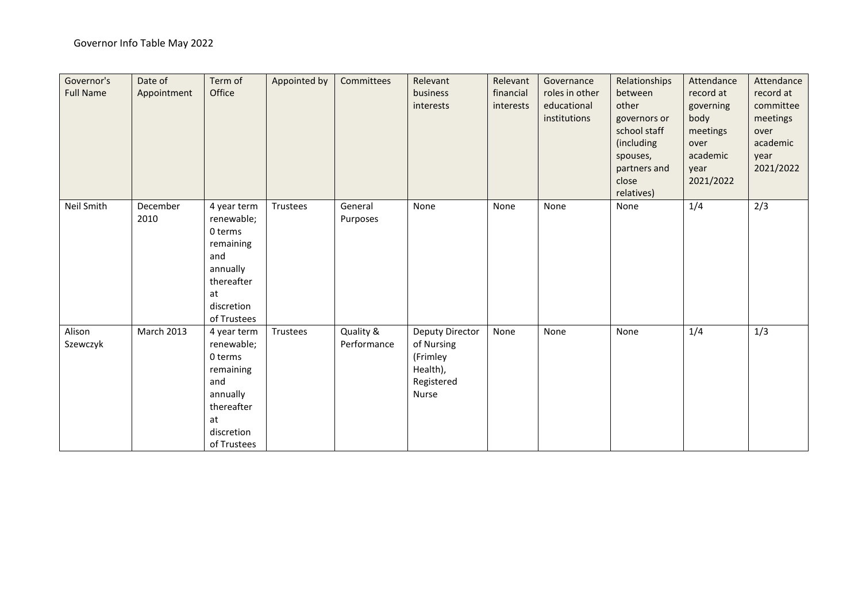| Governor's<br><b>Full Name</b> | Date of<br>Appointment | Term of<br>Office                                                                                                     | Appointed by | Committees               | Relevant<br>business<br>interests                                            | Relevant<br>financial<br>interests | Governance<br>roles in other<br>educational<br>institutions | Relationships<br>between<br>other<br>governors or<br>school staff<br>(including<br>spouses,<br>partners and<br>close<br>relatives) | Attendance<br>record at<br>governing<br>body<br>meetings<br>over<br>academic<br>year<br>2021/2022 | Attendance<br>record at<br>committee<br>meetings<br>over<br>academic<br>year<br>2021/2022 |
|--------------------------------|------------------------|-----------------------------------------------------------------------------------------------------------------------|--------------|--------------------------|------------------------------------------------------------------------------|------------------------------------|-------------------------------------------------------------|------------------------------------------------------------------------------------------------------------------------------------|---------------------------------------------------------------------------------------------------|-------------------------------------------------------------------------------------------|
| Neil Smith                     | December<br>2010       | 4 year term<br>renewable;<br>0 terms<br>remaining<br>and<br>annually<br>thereafter<br>at<br>discretion<br>of Trustees | Trustees     | General<br>Purposes      | None                                                                         | None                               | None                                                        | None                                                                                                                               | 1/4                                                                                               | 2/3                                                                                       |
| Alison<br>Szewczyk             | March 2013             | 4 year term<br>renewable;<br>0 terms<br>remaining<br>and<br>annually<br>thereafter<br>at<br>discretion<br>of Trustees | Trustees     | Quality &<br>Performance | Deputy Director<br>of Nursing<br>(Frimley<br>Health),<br>Registered<br>Nurse | None                               | None                                                        | None                                                                                                                               | 1/4                                                                                               | 1/3                                                                                       |